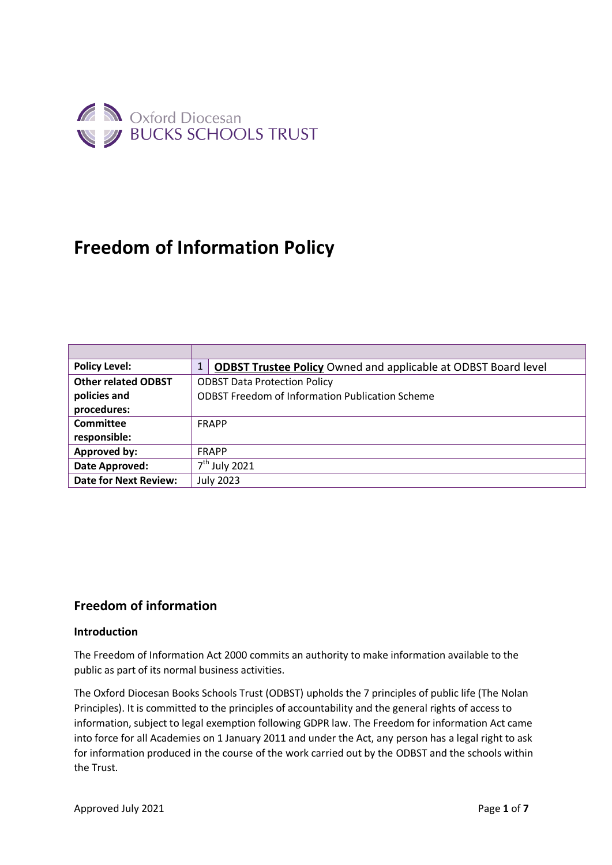

# **Freedom of Information Policy**

| <b>Policy Level:</b>         | <b>ODBST Trustee Policy Owned and applicable at ODBST Board level</b> |
|------------------------------|-----------------------------------------------------------------------|
| <b>Other related ODBST</b>   | <b>ODBST Data Protection Policy</b>                                   |
| policies and                 | <b>ODBST Freedom of Information Publication Scheme</b>                |
| procedures:                  |                                                                       |
| Committee                    | <b>FRAPP</b>                                                          |
| responsible:                 |                                                                       |
| Approved by:                 | <b>FRAPP</b>                                                          |
| Date Approved:               | $7th$ July 2021                                                       |
| <b>Date for Next Review:</b> | <b>July 2023</b>                                                      |

## **Freedom of information**

#### **Introduction**

The Freedom of Information Act 2000 commits an authority to make information available to the public as part of its normal business activities.

The Oxford Diocesan Books Schools Trust (ODBST) upholds the 7 principles of public life (The Nolan Principles). It is committed to the principles of accountability and the general rights of access to information, subject to legal exemption following GDPR law. The Freedom for information Act came into force for all Academies on 1 January 2011 and under the Act, any person has a legal right to ask for information produced in the course of the work carried out by the ODBST and the schools within the Trust.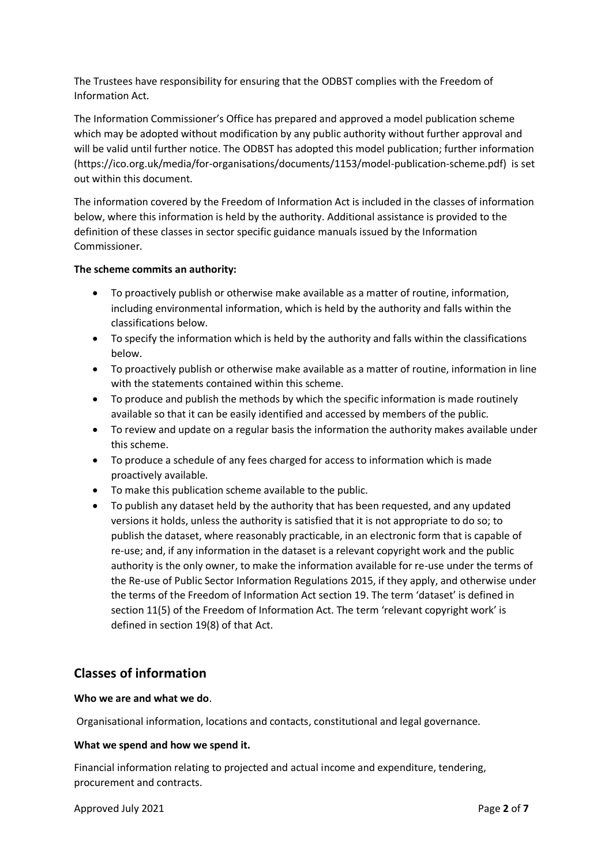The Trustees have responsibility for ensuring that the ODBST complies with the Freedom of Information Act.

The Information Commissioner's Office has prepared and approved a model publication scheme which may be adopted without modification by any public authority without further approval and will be valid until further notice. The ODBST has adopted this model publication; further information (https://ico.org.uk/media/for-organisations/documents/1153/model-publication-scheme.pdf) is set out within this document.

The information covered by the Freedom of Information Act is included in the classes of information below, where this information is held by the authority. Additional assistance is provided to the definition of these classes in sector specific guidance manuals issued by the Information Commissioner.

#### **The scheme commits an authority:**

- To proactively publish or otherwise make available as a matter of routine, information, including environmental information, which is held by the authority and falls within the classifications below.
- To specify the information which is held by the authority and falls within the classifications below.
- To proactively publish or otherwise make available as a matter of routine, information in line with the statements contained within this scheme.
- To produce and publish the methods by which the specific information is made routinely available so that it can be easily identified and accessed by members of the public.
- To review and update on a regular basis the information the authority makes available under this scheme.
- To produce a schedule of any fees charged for access to information which is made proactively available.
- To make this publication scheme available to the public.
- To publish any dataset held by the authority that has been requested, and any updated versions it holds, unless the authority is satisfied that it is not appropriate to do so; to publish the dataset, where reasonably practicable, in an electronic form that is capable of re-use; and, if any information in the dataset is a relevant copyright work and the public authority is the only owner, to make the information available for re-use under the terms of the Re-use of Public Sector Information Regulations 2015, if they apply, and otherwise under the terms of the Freedom of Information Act section 19. The term 'dataset' is defined in section 11(5) of the Freedom of Information Act. The term 'relevant copyright work' is defined in section 19(8) of that Act.

### **Classes of information**

#### **Who we are and what we do**.

Organisational information, locations and contacts, constitutional and legal governance.

#### **What we spend and how we spend it.**

Financial information relating to projected and actual income and expenditure, tendering, procurement and contracts.

Approved July 2021 **Page 2** of **7**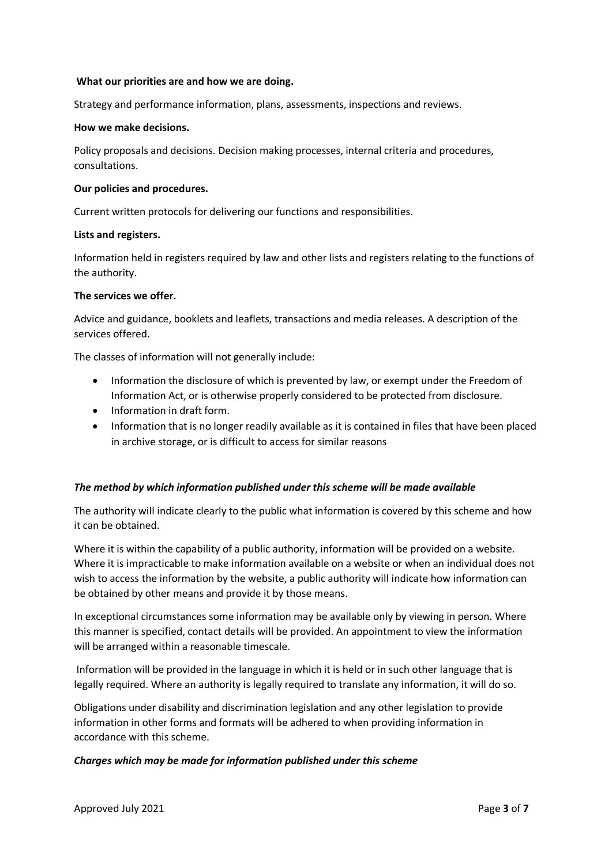#### **What our priorities are and how we are doing.**

Strategy and performance information, plans, assessments, inspections and reviews.

#### **How we make decisions.**

Policy proposals and decisions. Decision making processes, internal criteria and procedures, consultations.

#### **Our policies and procedures.**

Current written protocols for delivering our functions and responsibilities.

#### **Lists and registers.**

Information held in registers required by law and other lists and registers relating to the functions of the authority.

#### **The services we offer.**

Advice and guidance, booklets and leaflets, transactions and media releases. A description of the services offered.

The classes of information will not generally include:

- Information the disclosure of which is prevented by law, or exempt under the Freedom of Information Act, or is otherwise properly considered to be protected from disclosure.
- Information in draft form.
- Information that is no longer readily available as it is contained in files that have been placed in archive storage, or is difficult to access for similar reasons

#### *The method by which information published under this scheme will be made available*

The authority will indicate clearly to the public what information is covered by this scheme and how it can be obtained.

Where it is within the capability of a public authority, information will be provided on a website. Where it is impracticable to make information available on a website or when an individual does not wish to access the information by the website, a public authority will indicate how information can be obtained by other means and provide it by those means.

In exceptional circumstances some information may be available only by viewing in person. Where this manner is specified, contact details will be provided. An appointment to view the information will be arranged within a reasonable timescale.

Information will be provided in the language in which it is held or in such other language that is legally required. Where an authority is legally required to translate any information, it will do so.

Obligations under disability and discrimination legislation and any other legislation to provide information in other forms and formats will be adhered to when providing information in accordance with this scheme.

#### *Charges which may be made for information published under this scheme*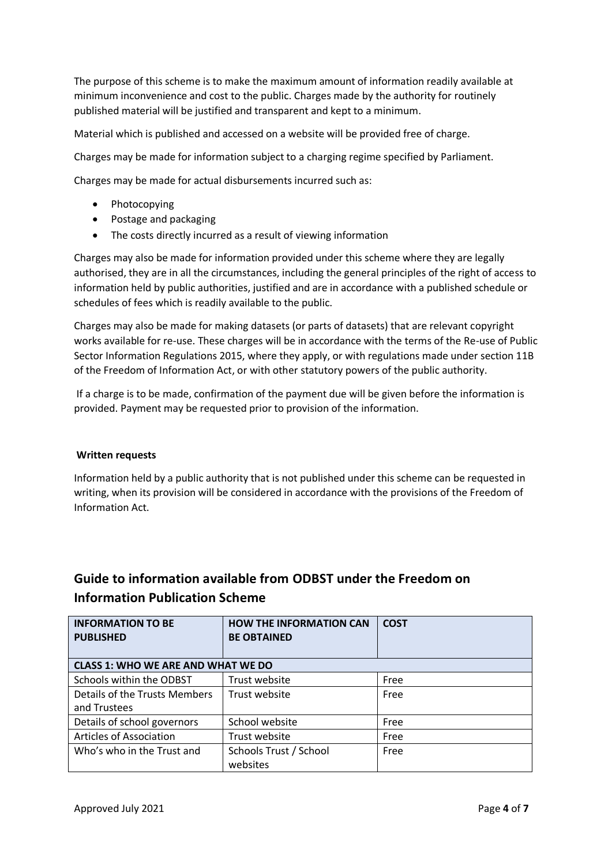The purpose of this scheme is to make the maximum amount of information readily available at minimum inconvenience and cost to the public. Charges made by the authority for routinely published material will be justified and transparent and kept to a minimum.

Material which is published and accessed on a website will be provided free of charge.

Charges may be made for information subject to a charging regime specified by Parliament.

Charges may be made for actual disbursements incurred such as:

- Photocopying
- Postage and packaging
- The costs directly incurred as a result of viewing information

Charges may also be made for information provided under this scheme where they are legally authorised, they are in all the circumstances, including the general principles of the right of access to information held by public authorities, justified and are in accordance with a published schedule or schedules of fees which is readily available to the public.

Charges may also be made for making datasets (or parts of datasets) that are relevant copyright works available for re-use. These charges will be in accordance with the terms of the Re-use of Public Sector Information Regulations 2015, where they apply, or with regulations made under section 11B of the Freedom of Information Act, or with other statutory powers of the public authority.

If a charge is to be made, confirmation of the payment due will be given before the information is provided. Payment may be requested prior to provision of the information.

#### **Written requests**

Information held by a public authority that is not published under this scheme can be requested in writing, when its provision will be considered in accordance with the provisions of the Freedom of Information Act.

# **Guide to information available from ODBST under the Freedom on Information Publication Scheme**

| <b>INFORMATION TO BE</b><br><b>PUBLISHED</b> | <b>HOW THE INFORMATION CAN</b><br><b>BE OBTAINED</b> | <b>COST</b> |  |  |
|----------------------------------------------|------------------------------------------------------|-------------|--|--|
| <b>CLASS 1: WHO WE ARE AND WHAT WE DO</b>    |                                                      |             |  |  |
| Schools within the ODBST                     | Trust website                                        | Free        |  |  |
| Details of the Trusts Members                | Trust website                                        | Free        |  |  |
| and Trustees                                 |                                                      |             |  |  |
| Details of school governors                  | School website                                       | Free        |  |  |
| Articles of Association                      | Trust website                                        | Free        |  |  |
| Who's who in the Trust and                   | Schools Trust / School<br>websites                   | Free        |  |  |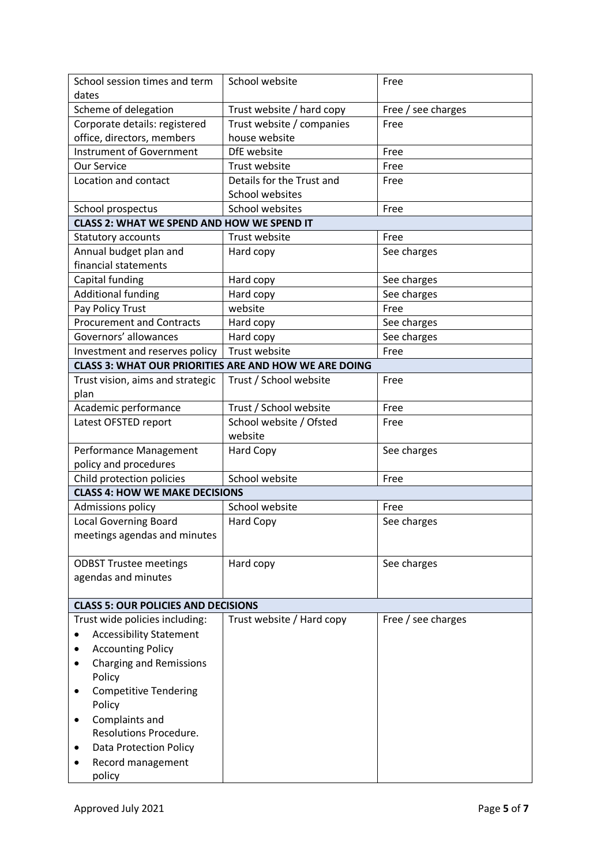| School session times and term<br>dates                       | School website            | Free               |  |  |
|--------------------------------------------------------------|---------------------------|--------------------|--|--|
| Scheme of delegation                                         | Trust website / hard copy | Free / see charges |  |  |
| Corporate details: registered                                | Trust website / companies | Free               |  |  |
| office, directors, members                                   | house website             |                    |  |  |
| Instrument of Government                                     | DfE website               | Free               |  |  |
| <b>Our Service</b>                                           | Trust website             | Free               |  |  |
| Location and contact                                         | Details for the Trust and | Free               |  |  |
|                                                              | School websites           |                    |  |  |
| School prospectus                                            | School websites           | Free               |  |  |
| <b>CLASS 2: WHAT WE SPEND AND HOW WE SPEND IT</b>            |                           |                    |  |  |
| Statutory accounts                                           | Trust website             | Free               |  |  |
| Annual budget plan and                                       | Hard copy                 | See charges        |  |  |
| financial statements                                         |                           |                    |  |  |
| Capital funding                                              | Hard copy                 | See charges        |  |  |
| <b>Additional funding</b>                                    | Hard copy                 | See charges        |  |  |
| Pay Policy Trust                                             | website                   | Free               |  |  |
| <b>Procurement and Contracts</b>                             | Hard copy                 | See charges        |  |  |
| Governors' allowances                                        | Hard copy                 | See charges        |  |  |
| Investment and reserves policy                               | Trust website             | Free               |  |  |
| <b>CLASS 3: WHAT OUR PRIORITIES ARE AND HOW WE ARE DOING</b> |                           |                    |  |  |
| Trust vision, aims and strategic                             | Trust / School website    | Free               |  |  |
| plan                                                         |                           |                    |  |  |
| Academic performance                                         | Trust / School website    | Free               |  |  |
| Latest OFSTED report                                         | School website / Ofsted   | Free               |  |  |
|                                                              | website                   |                    |  |  |
| Performance Management                                       | Hard Copy                 | See charges        |  |  |
| policy and procedures                                        |                           |                    |  |  |
| Child protection policies                                    | School website            | Free               |  |  |
| <b>CLASS 4: HOW WE MAKE DECISIONS</b>                        |                           |                    |  |  |
| Admissions policy                                            | School website            | Free               |  |  |
| Local Governing Board                                        | <b>Hard Copy</b>          | See charges        |  |  |
| meetings agendas and minutes                                 |                           |                    |  |  |
|                                                              |                           |                    |  |  |
| <b>ODBST Trustee meetings</b>                                | Hard copy                 | See charges        |  |  |
| agendas and minutes                                          |                           |                    |  |  |
|                                                              |                           |                    |  |  |
| <b>CLASS 5: OUR POLICIES AND DECISIONS</b>                   |                           |                    |  |  |
| Trust wide policies including:                               | Trust website / Hard copy | Free / see charges |  |  |
| <b>Accessibility Statement</b>                               |                           |                    |  |  |
| <b>Accounting Policy</b>                                     |                           |                    |  |  |
| <b>Charging and Remissions</b>                               |                           |                    |  |  |
| Policy                                                       |                           |                    |  |  |
| <b>Competitive Tendering</b>                                 |                           |                    |  |  |
| Policy                                                       |                           |                    |  |  |
| Complaints and                                               |                           |                    |  |  |
| <b>Resolutions Procedure.</b>                                |                           |                    |  |  |
| <b>Data Protection Policy</b>                                |                           |                    |  |  |
| Record management                                            |                           |                    |  |  |
| policy                                                       |                           |                    |  |  |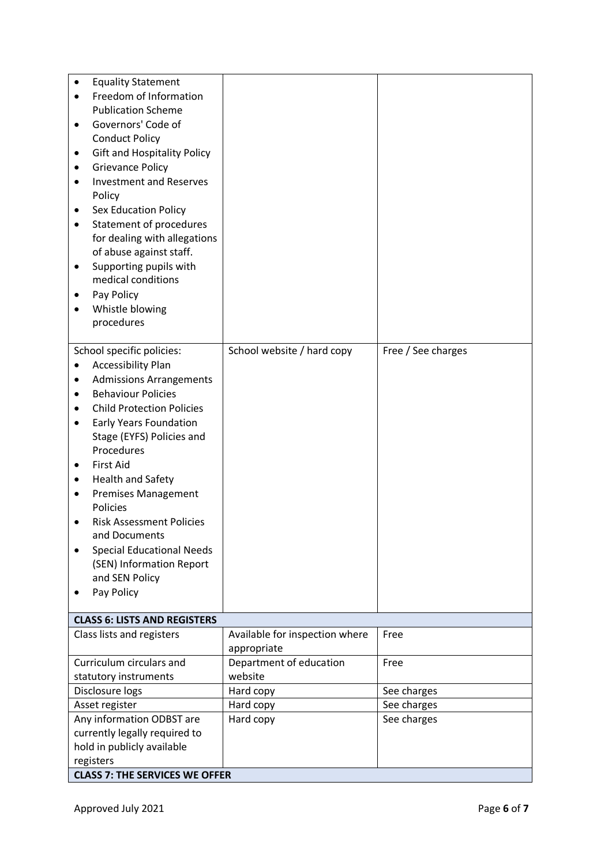| <b>Equality Statement</b><br>٠          |                                |                    |
|-----------------------------------------|--------------------------------|--------------------|
| Freedom of Information                  |                                |                    |
| <b>Publication Scheme</b>               |                                |                    |
| Governors' Code of<br>٠                 |                                |                    |
| <b>Conduct Policy</b>                   |                                |                    |
| <b>Gift and Hospitality Policy</b>      |                                |                    |
| <b>Grievance Policy</b><br>٠            |                                |                    |
| <b>Investment and Reserves</b>          |                                |                    |
| Policy                                  |                                |                    |
| <b>Sex Education Policy</b><br>٠        |                                |                    |
| Statement of procedures<br>$\bullet$    |                                |                    |
| for dealing with allegations            |                                |                    |
| of abuse against staff.                 |                                |                    |
| Supporting pupils with<br>٠             |                                |                    |
| medical conditions                      |                                |                    |
| Pay Policy                              |                                |                    |
| Whistle blowing                         |                                |                    |
| procedures                              |                                |                    |
| School specific policies:               | School website / hard copy     | Free / See charges |
| <b>Accessibility Plan</b>               |                                |                    |
| <b>Admissions Arrangements</b><br>٠     |                                |                    |
| <b>Behaviour Policies</b><br>$\bullet$  |                                |                    |
| <b>Child Protection Policies</b><br>٠   |                                |                    |
| Early Years Foundation<br>$\bullet$     |                                |                    |
| Stage (EYFS) Policies and               |                                |                    |
| Procedures                              |                                |                    |
| <b>First Aid</b><br>$\bullet$           |                                |                    |
| <b>Health and Safety</b><br>٠           |                                |                    |
| <b>Premises Management</b><br>$\bullet$ |                                |                    |
| Policies                                |                                |                    |
| <b>Risk Assessment Policies</b>         |                                |                    |
| and Documents                           |                                |                    |
| <b>Special Educational Needs</b>        |                                |                    |
| (SEN) Information Report                |                                |                    |
| and SEN Policy                          |                                |                    |
| Pay Policy                              |                                |                    |
| <b>CLASS 6: LISTS AND REGISTERS</b>     |                                |                    |
| Class lists and registers               | Available for inspection where | Free               |
|                                         | appropriate                    |                    |
| Curriculum circulars and                | Department of education        | Free               |
| statutory instruments                   | website                        |                    |
| Disclosure logs                         | Hard copy                      | See charges        |
| Asset register                          | Hard copy                      | See charges        |
| Any information ODBST are               | Hard copy                      | See charges        |
| currently legally required to           |                                |                    |
| hold in publicly available              |                                |                    |
| registers                               |                                |                    |
| <b>CLASS 7: THE SERVICES WE OFFER</b>   |                                |                    |